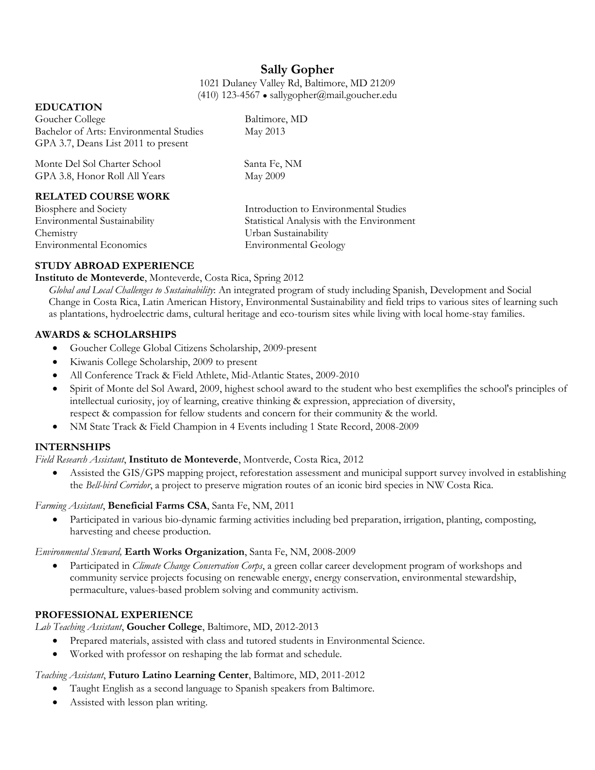# **Sally Gopher**

1021 Dulaney Valley Rd, Baltimore, MD 21209 (410) 123-4567 ● [sallygopher@mail.goucher.edu](mailto:sallygopher@mail.goucher.edu)

| <b>EDUCATION</b>                        |                                           |
|-----------------------------------------|-------------------------------------------|
| Goucher College                         | Baltimore, MD                             |
| Bachelor of Arts: Environmental Studies | May 2013                                  |
| GPA 3.7, Deans List 2011 to present     |                                           |
| Monte Del Sol Charter School            | Santa Fe, NM                              |
| GPA 3.8, Honor Roll All Years           | <b>May 2009</b>                           |
| <b>RELATED COURSE WORK</b>              |                                           |
| Biosphere and Society                   | Introduction to Environmental Studies     |
| Environmental Sustainability            | Statistical Analysis with the Environment |
| Chemistry                               | Urban Sustainability                      |
| <b>Environmental Economics</b>          | <b>Environmental Geology</b>              |

# **STUDY ABROAD EXPERIENCE**

**Instituto de Monteverde**, Monteverde, Costa Rica, Spring 2012

*Global and Local Challenges to Sustainability*: An integrated program of study including Spanish, Development and Social Change in Costa Rica, Latin American History, Environmental Sustainability and field trips to various sites of learning such as plantations, hydroelectric dams, cultural heritage and eco-tourism sites while living with local home-stay families.

### **AWARDS & SCHOLARSHIPS**

- Goucher College Global Citizens Scholarship, 2009-present
- Kiwanis College Scholarship, 2009 to present
- All Conference Track & Field Athlete, Mid-Atlantic States, 2009-2010
- Spirit of Monte del Sol Award, 2009, highest school award to the student who best exemplifies the school's principles of intellectual curiosity, joy of learning, creative thinking & expression, appreciation of diversity, respect & compassion for fellow students and concern for their community & the world.
- NM State Track & Field Champion in 4 Events including 1 State Record, 2008-2009

### **INTERNSHIPS**

**EDUCATION**

*Field Research Assistant*, **Instituto de Monteverde**, Montverde, Costa Rica, 2012

 Assisted the GIS/GPS mapping project, reforestation assessment and municipal support survey involved in establishing the *Bell-bird Corridor*, a project to preserve migration routes of an iconic bird species in NW Costa Rica.

*Farming Assistant*, **Beneficial Farms CSA**, Santa Fe, NM, 2011

 Participated in various bio-dynamic farming activities including bed preparation, irrigation, planting, composting, harvesting and cheese production.

### *Environmental Steward,* **Earth Works Organization**, Santa Fe, NM, 2008-2009

 Participated in *Climate Change Conservation Corps*, a green collar career development program of workshops and community service projects focusing on renewable energy, energy conservation, environmental stewardship, permaculture, values-based problem solving and community activism.

### **PROFESSIONAL EXPERIENCE**

*Lab Teaching Assistant*, **Goucher College**, Baltimore, MD, 2012-2013

- Prepared materials, assisted with class and tutored students in Environmental Science.
- Worked with professor on reshaping the lab format and schedule.

### *Teaching Assistant*, **Futuro Latino Learning Center**, Baltimore, MD, 2011-2012

- Taught English as a second language to Spanish speakers from Baltimore.
- Assisted with lesson plan writing.